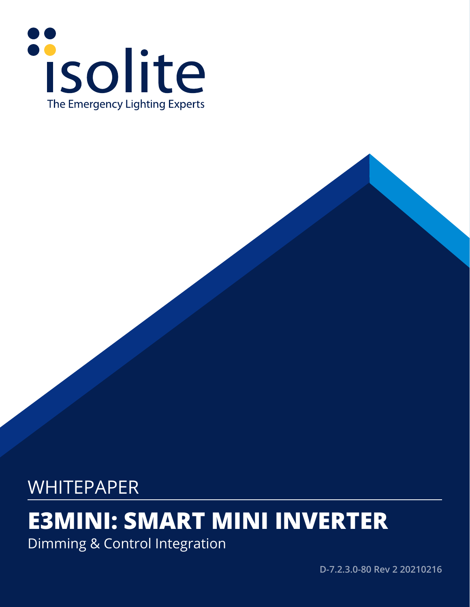

# WHITEPAPER

# **E3MINI: SMART MINI INVERTER**

Dimming & Control Integration

**D-7.2.3.0-80 Rev 2 20210216**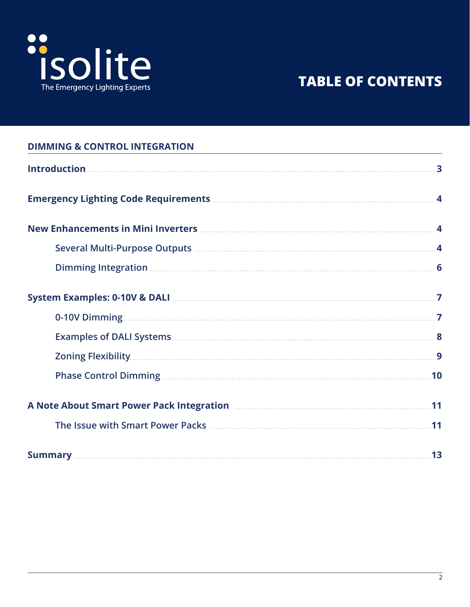

# **TABLE OF CONTENTS**

| <b>DIMMING &amp; CONTROL INTEGRATION</b>                                                                                                                                                                                             |  |
|--------------------------------------------------------------------------------------------------------------------------------------------------------------------------------------------------------------------------------------|--|
|                                                                                                                                                                                                                                      |  |
|                                                                                                                                                                                                                                      |  |
| New Enhancements in Mini Inverters <b>Manual Accord 2018</b> 4                                                                                                                                                                       |  |
|                                                                                                                                                                                                                                      |  |
| Dimming Integration <b>Manual Community</b> of <b>6</b>                                                                                                                                                                              |  |
| System Examples: 0-10V & DALI <b>Manual According to the Contract of According Contract Contract Contract Contract Contract Contract Contract Contract Contract Contract Contract Contract Contract Contract Contract Contract C</b> |  |
|                                                                                                                                                                                                                                      |  |
|                                                                                                                                                                                                                                      |  |
|                                                                                                                                                                                                                                      |  |
| Phase Control Dimming <b>Election Control</b> Dimming <b>10</b>                                                                                                                                                                      |  |
| A Note About Smart Power Pack Integration <b>Manual Accord Power Pack Integration</b>                                                                                                                                                |  |
| The Issue with Smart Power Packs <b>Commission Contract 11</b>                                                                                                                                                                       |  |
|                                                                                                                                                                                                                                      |  |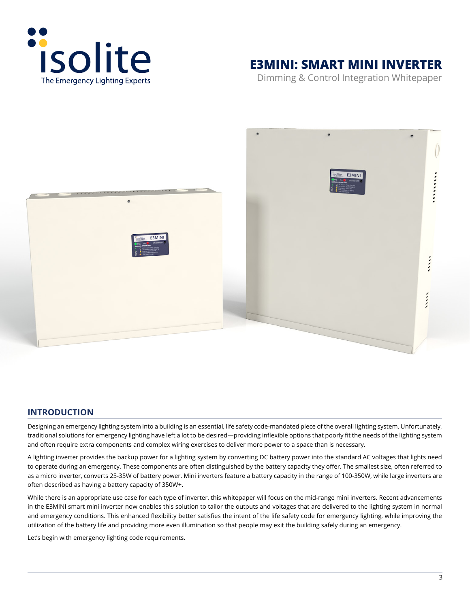<span id="page-2-0"></span>

# **E3MINI: SMART MINI INVERTER**

Dimming & Control Integration Whitepaper



# **INTRODUCTION**

Designing an emergency lighting system into a building is an essential, life safety code-mandated piece of the overall lighting system. Unfortunately, traditional solutions for emergency lighting have left a lot to be desired—providing inflexible options that poorly fit the needs of the lighting system and often require extra components and complex wiring exercises to deliver more power to a space than is necessary.

A lighting inverter provides the backup power for a lighting system by converting DC battery power into the standard AC voltages that lights need to operate during an emergency. These components are often distinguished by the battery capacity they offer. The smallest size, often referred to as a micro inverter, converts 25-35W of battery power. Mini inverters feature a battery capacity in the range of 100-350W, while large inverters are often described as having a battery capacity of 350W+.

While there is an appropriate use case for each type of inverter, this whitepaper will focus on the mid-range mini inverters. Recent advancements in the E3MINI smart mini inverter now enables this solution to tailor the outputs and voltages that are delivered to the lighting system in normal and emergency conditions. This enhanced flexibility better satisfies the intent of the life safety code for emergency lighting, while improving the utilization of the battery life and providing more even illumination so that people may exit the building safely during an emergency.

Let's begin with emergency lighting code requirements.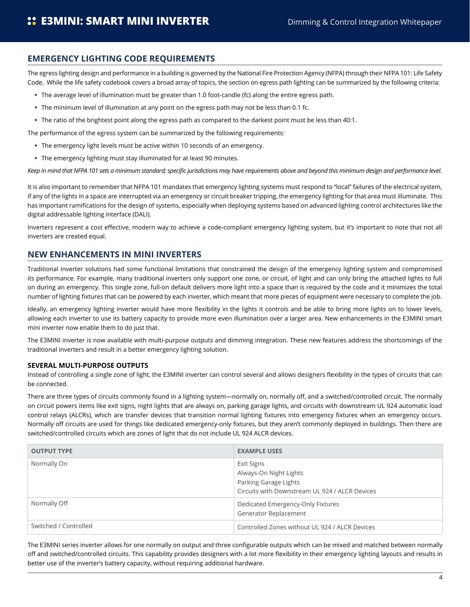# <span id="page-3-0"></span>**EMERGENCY LIGHTING CODE REQUIREMENTS**

The egress lighting design and performance in a building is governed by the National Fire Protection Agency (NFPA) through their NFPA 101: Life Safety Code. While the life safety codebook covers a broad array of topics, the section on egress path lighting can be summarized by the following criteria:

- The average level of illumination must be greater than 1.0 foot-candle (fc) along the entire egress path.
- The minimum level of illumination at any point on the egress path may not be less than 0.1 fc.
- The ratio of the brightest point along the egress path as compared to the darkest point must be less than 40:1.

The performance of the egress system can be summarized by the following requirements:

- The emergency light levels must be active within 10 seconds of an emergency.
- The emergency lighting must stay illuminated for at least 90 minutes.

*Keep in mind that NFPA 101 sets a minimum standard; specific jurisdictions may have requirements above and beyond this minimum design and performance level.*

It is also important to remember that NFPA 101 mandates that emergency lighting systems must respond to "local" failures of the electrical system, if any of the lights in a space are interrupted via an emergency or circuit breaker tripping, the emergency lighting for that area must illuminate. This has important ramifications for the design of systems, especially when deploying systems based on advanced lighting control architectures like the digital addressable lighting interface (DALI).

Inverters represent a cost effective, modern way to achieve a code-compliant emergency lighting system, but it's important to note that not all inverters are created equal.

## **NEW ENHANCEMENTS IN MINI INVERTERS**

Traditional inverter solutions had some functional limitations that constrained the design of the emergency lighting system and compromised its performance. For example, many traditional inverters only support one zone, or circuit, of light and can only bring the attached lights to full on during an emergency. This single zone, full-on default delivers more light into a space than is required by the code and it minimizes the total number of lighting fixtures that can be powered by each inverter, which meant that more pieces of equipment were necessary to complete the job.

Ideally, an emergency lighting inverter would have more flexibility in the lights it controls and be able to bring more lights on to lower levels, allowing each inverter to use its battery capacity to provide more even illumination over a larger area. New enhancements in the E3MINI smart mini inverter now enable them to do just that.

The E3MINI inverter is now available with multi-purpose outputs and dimming integration. These new features address the shortcomings of the traditional inverters and result in a better emergency lighting solution.

#### **SEVERAL MULTI-PURPOSE OUTPUTS**

Instead of controlling a single zone of light, the E3MINI inverter can control several and allows designers flexibility in the types of circuits that can be connected.

There are three types of circuits commonly found in a lighting system—normally on, normally off, and a switched/controlled circuit. The normally on circuit powers items like exit signs, night lights that are always on, parking garage lights, and circuits with downstream UL 924 automatic load control relays (ALCRs), which are transfer devices that transition normal lighting fixtures into emergency fixtures when an emergency occurs. Normally off circuits are used for things like dedicated emergency-only fixtures, but they aren't commonly deployed in buildings. Then there are switched/controlled circuits which are zones of light that do not include UL 924 ALCR devices.

| <b>OUTPUT TYPE</b>    | <b>EXAMPLE USES</b>                                                                                             |
|-----------------------|-----------------------------------------------------------------------------------------------------------------|
| Normally On           | Exit Signs<br>Always-On Night Lights<br>Parking Garage Lights<br>Circuits with Downstream UL 924 / ALCR Devices |
| Normally Off          | Dedicated Emergency-Only Fixtures<br>Generator Replacement                                                      |
| Switched / Controlled | Controlled Zones without UL 924 / ALCR Devices                                                                  |

The E3MINI series inverter allows for one normally on output and three configurable outputs which can be mixed and matched between normally off and switched/controlled circuits. This capability provides designers with a lot more flexibility in their emergency lighting layouts and results in better use of the inverter's battery capacity, without requiring additional hardware.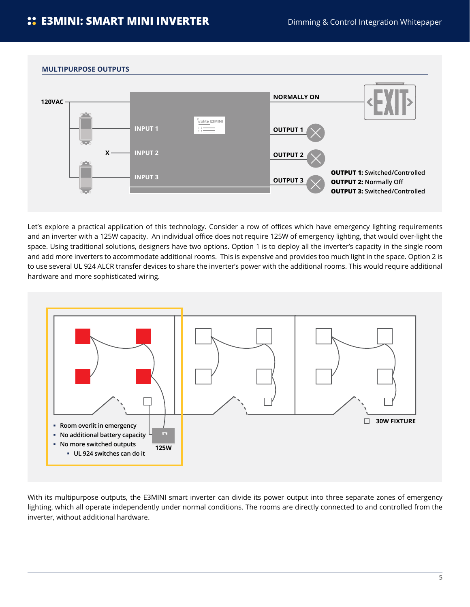

Let's explore a practical application of this technology. Consider a row of offices which have emergency lighting requirements and an inverter with a 125W capacity. An individual office does not require 125W of emergency lighting, that would over-light the space. Using traditional solutions, designers have two options. Option 1 is to deploy all the inverter's capacity in the single room and add more inverters to accommodate additional rooms. This is expensive and provides too much light in the space. Option 2 is to use several UL 924 ALCR transfer devices to share the inverter's power with the additional rooms. This would require additional hardware and more sophisticated wiring.



With its multipurpose outputs, the E3MINI smart inverter can divide its power output into three separate zones of emergency lighting, which all operate independently under normal conditions. The rooms are directly connected to and controlled from the inverter, without additional hardware.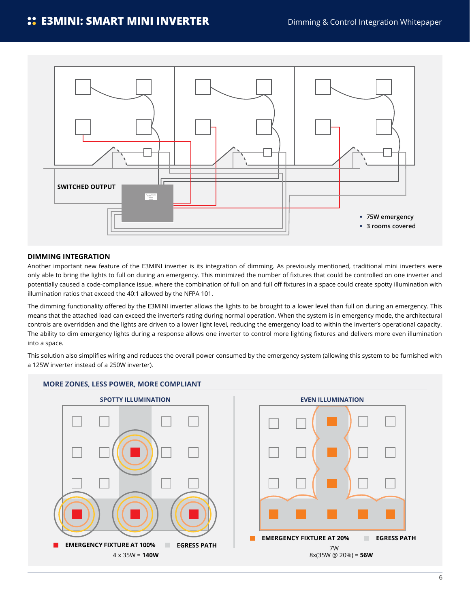<span id="page-5-0"></span>

#### **DIMMING INTEGRATION**

Another important new feature of the E3MINI inverter is its integration of dimming. As previously mentioned, traditional mini inverters were only able to bring the lights to full on during an emergency. This minimized the number of fixtures that could be controlled on one inverter and potentially caused a code-compliance issue, where the combination of full on and full off fixtures in a space could create spotty illumination with illumination ratios that exceed the 40:1 allowed by the NFPA 101.

The dimming functionality offered by the E3MINI inverter allows the lights to be brought to a lower level than full on during an emergency. This means that the attached load can exceed the inverter's rating during normal operation. When the system is in emergency mode, the architectural controls are overridden and the lights are driven to a lower light level, reducing the emergency load to within the inverter's operational capacity. The ability to dim emergency lights during a response allows one inverter to control more lighting fixtures and delivers more even illumination into a space.

This solution also simplifies wiring and reduces the overall power consumed by the emergency system (allowing this system to be furnished with a 125W inverter instead of a 250W inverter).



## **MORE ZONES, LESS POWER, MORE COMPLIANT**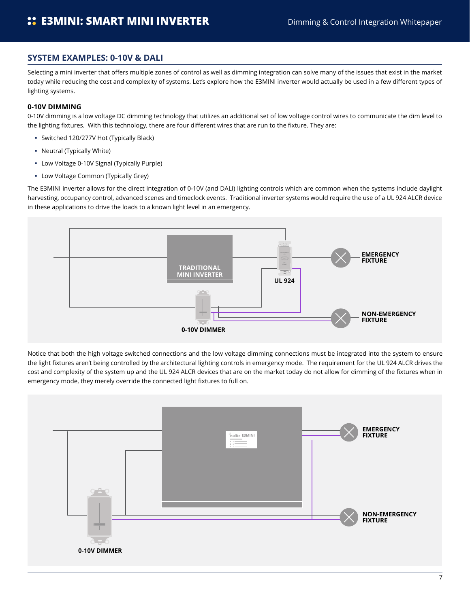## <span id="page-6-0"></span>**SYSTEM EXAMPLES: 0-10V & DALI**

Selecting a mini inverter that offers multiple zones of control as well as dimming integration can solve many of the issues that exist in the market today while reducing the cost and complexity of systems. Let's explore how the E3MINI inverter would actually be used in a few different types of lighting systems.

#### **0-10V DIMMING**

0-10V dimming is a low voltage DC dimming technology that utilizes an additional set of low voltage control wires to communicate the dim level to the lighting fixtures. With this technology, there are four different wires that are run to the fixture. They are:

- Switched 120/277V Hot (Typically Black)
- Neutral (Typically White)
- Low Voltage 0-10V Signal (Typically Purple)
- **E** Low Voltage Common (Typically Grey)

The E3MINI inverter allows for the direct integration of 0-10V (and DALI) lighting controls which are common when the systems include daylight harvesting, occupancy control, advanced scenes and timeclock events. Traditional inverter systems would require the use of a UL 924 ALCR device in these applications to drive the loads to a known light level in an emergency.



Notice that both the high voltage switched connections and the low voltage dimming connections must be integrated into the system to ensure the light fixtures aren't being controlled by the architectural lighting controls in emergency mode. The requirement for the UL 924 ALCR drives the cost and complexity of the system up and the UL 924 ALCR devices that are on the market today do not allow for dimming of the fixtures when in emergency mode, they merely override the connected light fixtures to full on.

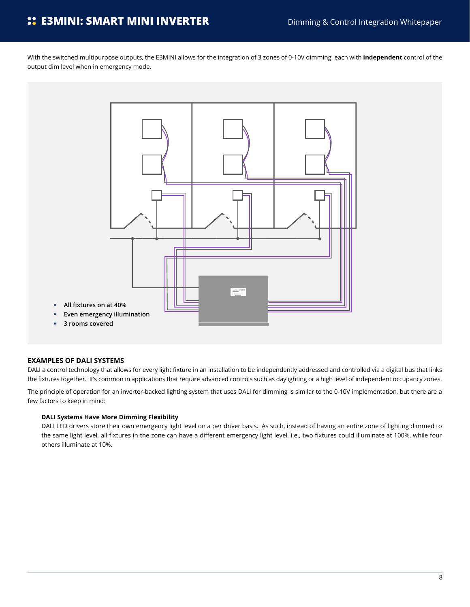<span id="page-7-0"></span>With the switched multipurpose outputs, the E3MINI allows for the integration of 3 zones of 0-10V dimming, each with **independent** control of the output dim level when in emergency mode.



#### **EXAMPLES OF DALI SYSTEMS**

DALI a control technology that allows for every light fixture in an installation to be independently addressed and controlled via a digital bus that links the fixtures together. It's common in applications that require advanced controls such as daylighting or a high level of independent occupancy zones.

The principle of operation for an inverter-backed lighting system that uses DALI for dimming is similar to the 0-10V implementation, but there are a few factors to keep in mind:

#### **DALI Systems Have More Dimming Flexibility**

DALI LED drivers store their own emergency light level on a per driver basis. As such, instead of having an entire zone of lighting dimmed to the same light level, all fixtures in the zone can have a different emergency light level, i.e., two fixtures could illuminate at 100%, while four others illuminate at 10%.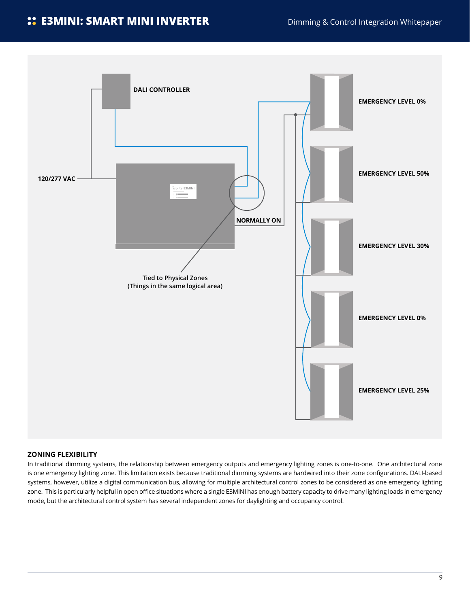# <span id="page-8-0"></span>**CE3MINI: SMART MINI INVERTER** Dimming & Control Integration Whitepaper



#### **ZONING FLEXIBILITY**

In traditional dimming systems, the relationship between emergency outputs and emergency lighting zones is one-to-one. One architectural zone is one emergency lighting zone. This limitation exists because traditional dimming systems are hardwired into their zone configurations. DALI-based systems, however, utilize a digital communication bus, allowing for multiple architectural control zones to be considered as one emergency lighting zone. This is particularly helpful in open office situations where a single E3MINI has enough battery capacity to drive many lighting loads in emergency mode, but the architectural control system has several independent zones for daylighting and occupancy control.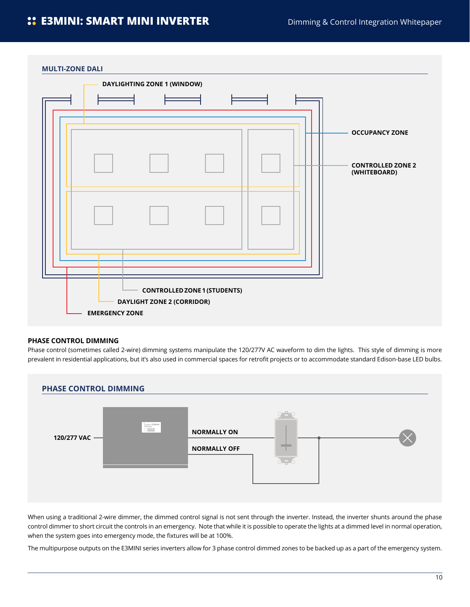<span id="page-9-0"></span>

#### **PHASE CONTROL DIMMING**

Phase control (sometimes called 2-wire) dimming systems manipulate the 120/277V AC waveform to dim the lights. This style of dimming is more prevalent in residential applications, but it's also used in commercial spaces for retrofit projects or to accommodate standard Edison-base LED bulbs.



When using a traditional 2-wire dimmer, the dimmed control signal is not sent through the inverter. Instead, the inverter shunts around the phase control dimmer to short circuit the controls in an emergency. Note that while it is possible to operate the lights at a dimmed level in normal operation, when the system goes into emergency mode, the fixtures will be at 100%.

The multipurpose outputs on the E3MINI series inverters allow for 3 phase control dimmed zones to be backed up as a part of the emergency system.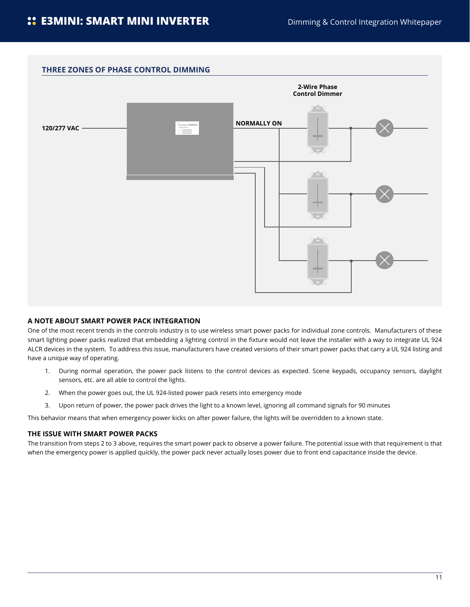<span id="page-10-0"></span>

#### **A NOTE ABOUT SMART POWER PACK INTEGRATION**

One of the most recent trends in the controls industry is to use wireless smart power packs for individual zone controls. Manufacturers of these smart lighting power packs realized that embedding a lighting control in the fixture would not leave the installer with a way to integrate UL 924 ALCR devices in the system. To address this issue, manufacturers have created versions of their smart power packs that carry a UL 924 listing and have a unique way of operating.

- 1. During normal operation, the power pack listens to the control devices as expected. Scene keypads, occupancy sensors, daylight sensors, etc. are all able to control the lights.
- 2. When the power goes out, the UL 924-listed power pack resets into emergency mode
- 3. Upon return of power, the power pack drives the light to a known level, ignoring all command signals for 90 minutes

This behavior means that when emergency power kicks on after power failure, the lights will be overridden to a known state.

#### **THE ISSUE WITH SMART POWER PACKS**

The transition from steps 2 to 3 above, requires the smart power pack to observe a power failure. The potential issue with that requirement is that when the emergency power is applied quickly, the power pack never actually loses power due to front end capacitance inside the device.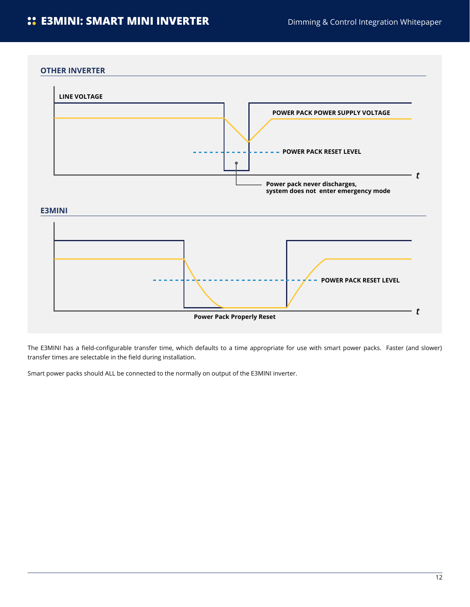#### **OTHER INVERTER**



The E3MINI has a field-configurable transfer time, which defaults to a time appropriate for use with smart power packs. Faster (and slower) transfer times are selectable in the field during installation.

Smart power packs should ALL be connected to the normally on output of the E3MINI inverter.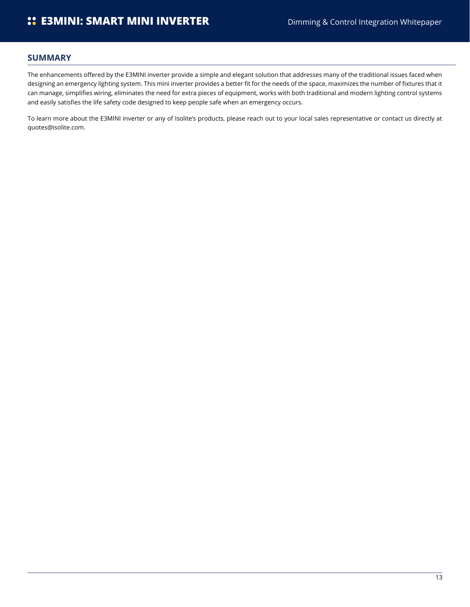## <span id="page-12-0"></span>**SUMMARY**

The enhancements offered by the E3MINI inverter provide a simple and elegant solution that addresses many of the traditional issues faced when designing an emergency lighting system. This mini inverter provides a better fit for the needs of the space, maximizes the number of fixtures that it can manage, simplifies wiring, eliminates the need for extra pieces of equipment, works with both traditional and modern lighting control systems and easily satisfies the life safety code designed to keep people safe when an emergency occurs.

To learn more about the E3MINI inverter or any of Isolite's products, please reach out to your local sales representative or contact us directly at [quotes@isolite.com](http://quotes@isolite.com).